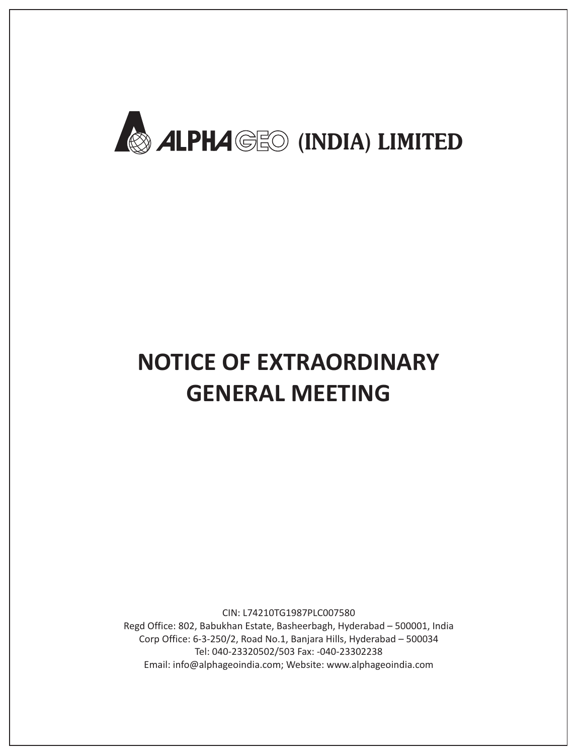

# **NOTICE OF EXTRAORDINARY GENERAL MEETING**

CIN: L74210TG1987PLC007580 Regd Office: 802, Babukhan Estate, Basheerbagh, Hyderabad – 500001, India Corp Office: 6-3-250/2, Road No.1, Banjara Hills, Hyderabad – 500034 Tel: 040-23320502/503 Fax: -040-23302238 Email: info@alphageoindia.com; Website: www.alphageoindia.com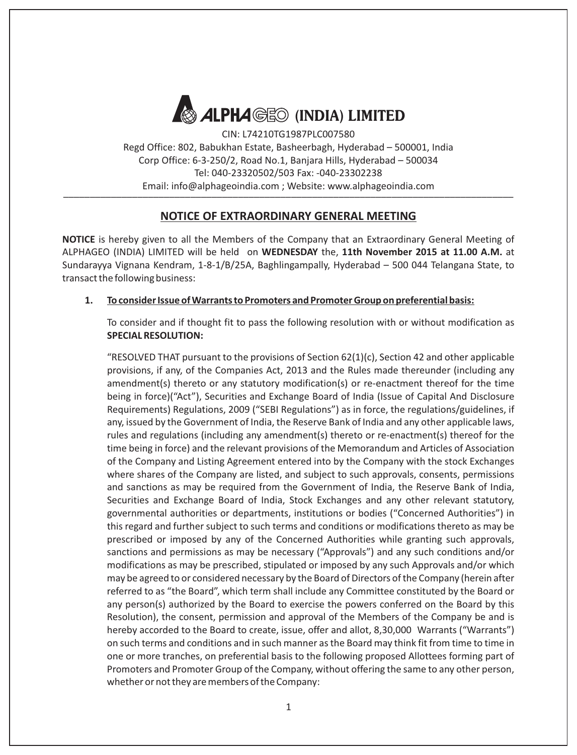

CIN: L74210TG1987PLC007580 Regd Office: 802, Babukhan Estate, Basheerbagh, Hyderabad – 500001, India Corp Office: 6-3-250/2, Road No.1, Banjara Hills, Hyderabad – 500034 Tel: 040-23320502/503 Fax: -040-23302238 Email: info@alphageoindia.com ; Website: www.alphageoindia.com \_\_\_\_\_\_\_\_\_\_\_\_\_\_\_\_\_\_\_\_\_\_\_\_\_\_\_\_\_\_\_\_\_\_\_\_\_\_\_\_\_\_\_\_\_\_\_\_\_\_\_\_\_\_\_\_\_\_\_\_\_\_\_\_\_\_\_\_\_\_\_\_\_\_\_\_\_\_\_\_\_\_\_\_\_

# **NOTICE OF EXTRAORDINARY GENERAL MEETING**

**NOTICE** is hereby given to all the Members of the Company that an Extraordinary General Meeting of ALPHAGEO (INDIA) LIMITED will be held on **WEDNESDAY** the, **11th November 2015 at 11.00 A.M.** at Sundarayya Vignana Kendram, 1-8-1/B/25A, Baghlingampally, Hyderabad – 500 044 Telangana State, to transact the following business:

#### **1. To consider Issue of Warrants to Promoters and Promoter Group on preferential basis:**

To consider and if thought fit to pass the following resolution with or without modification as **SPECIAL RESOLUTION:**

"RESOLVED THAT pursuant to the provisions of Section  $62(1)(c)$ , Section 42 and other applicable provisions, if any, of the Companies Act, 2013 and the Rules made thereunder (including any amendment(s) thereto or any statutory modification(s) or re-enactment thereof for the time being in force)("Act"), Securities and Exchange Board of India (Issue of Capital And Disclosure Requirements) Regulations, 2009 ("SEBI Regulations") as in force, the regulations/guidelines, if any, issued by the Government of India, the Reserve Bank of India and any other applicable laws, rules and regulations (including any amendment(s) thereto or re-enactment(s) thereof for the time being in force) and the relevant provisions of the Memorandum and Articles of Association of the Company and Listing Agreement entered into by the Company with the stock Exchanges where shares of the Company are listed, and subject to such approvals, consents, permissions and sanctions as may be required from the Government of India, the Reserve Bank of India, Securities and Exchange Board of India, Stock Exchanges and any other relevant statutory, governmental authorities or departments, institutions or bodies ("Concerned Authorities") in this regard and further subject to such terms and conditions or modifications thereto as may be prescribed or imposed by any of the Concerned Authorities while granting such approvals, sanctions and permissions as may be necessary ("Approvals") and any such conditions and/or modifications as may be prescribed, stipulated or imposed by any such Approvals and/or which may be agreed to or considered necessary by the Board of Directors of the Company (herein after referred to as "the Board", which term shall include any Committee constituted by the Board or any person(s) authorized by the Board to exercise the powers conferred on the Board by this Resolution), the consent, permission and approval of the Members of the Company be and is hereby accorded to the Board to create, issue, offer and allot, 8,30,000 Warrants ("Warrants") on such terms and conditions and in such manner as the Board may think fit from time to time in one or more tranches, on preferential basis to the following proposed Allottees forming part of Promoters and Promoter Group of the Company, without offering the same to any other person, whether or not they are members of the Company: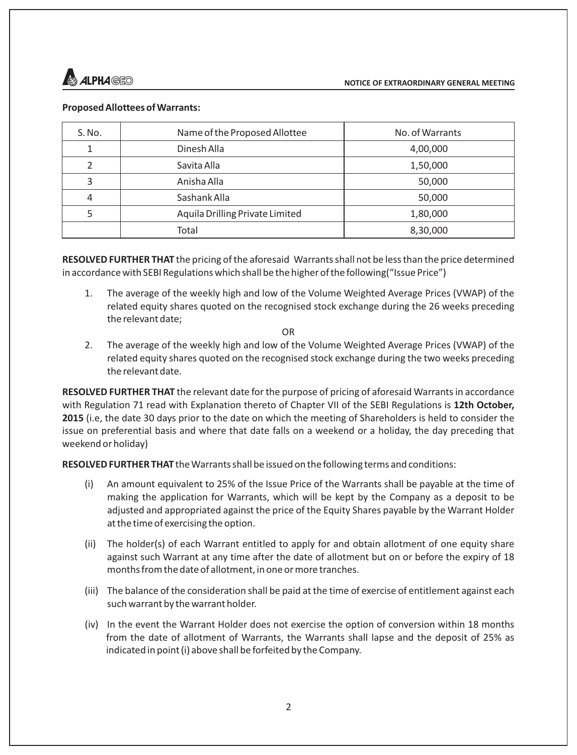

### **Proposed Allottees of Warrants:**

| S. No. | Name of the Proposed Allottee   | No. of Warrants |  |
|--------|---------------------------------|-----------------|--|
|        | Dinesh Alla                     | 4,00,000        |  |
| 2      | Savita Alla                     | 1,50,000        |  |
| 3      | Anisha Alla                     | 50,000          |  |
| 4      | Sashank Alla                    | 50,000          |  |
| 5      | Aquila Drilling Private Limited | 1,80,000        |  |
|        | Total                           | 8,30,000        |  |

**RESOLVED FURTHER THAT** the pricing of the aforesaid Warrants shall not be less than the price determined in accordance with SEBI Regulations which shall be the higher of the following("Issue Price")

1. The average of the weekly high and low of the Volume Weighted Average Prices (VWAP) of the related equity shares quoted on the recognised stock exchange during the 26 weeks preceding the relevant date;

OR

2. The average of the weekly high and low of the Volume Weighted Average Prices (VWAP) of the related equity shares quoted on the recognised stock exchange during the two weeks preceding the relevant date.

**RESOLVED FURTHER THAT** the relevant date for the purpose of pricing of aforesaid Warrants in accordance with Regulation 71 read with Explanation thereto of Chapter VII of the SEBI Regulations is **12th October, 2015** (i.e, the date 30 days prior to the date on which the meeting of Shareholders is held to consider the issue on preferential basis and where that date falls on a weekend or a holiday, the day preceding that weekend or holiday)

**RESOLVED FURTHER THAT** the Warrants shall be issued on the following terms and conditions:

- (i) An amount equivalent to 25% of the Issue Price of the Warrants shall be payable at the time of making the application for Warrants, which will be kept by the Company as a deposit to be adjusted and appropriated against the price of the Equity Shares payable by the Warrant Holder at the time of exercising the option.
- (ii) The holder(s) of each Warrant entitled to apply for and obtain allotment of one equity share against such Warrant at any time after the date of allotment but on or before the expiry of 18 months from the date of allotment, in one or more tranches.
- (iii) The balance of the consideration shall be paid at the time of exercise of entitlement against each such warrant by the warrant holder.
- (iv) In the event the Warrant Holder does not exercise the option of conversion within 18 months from the date of allotment of Warrants, the Warrants shall lapse and the deposit of 25% as indicated in point (i) above shall be forfeited by the Company.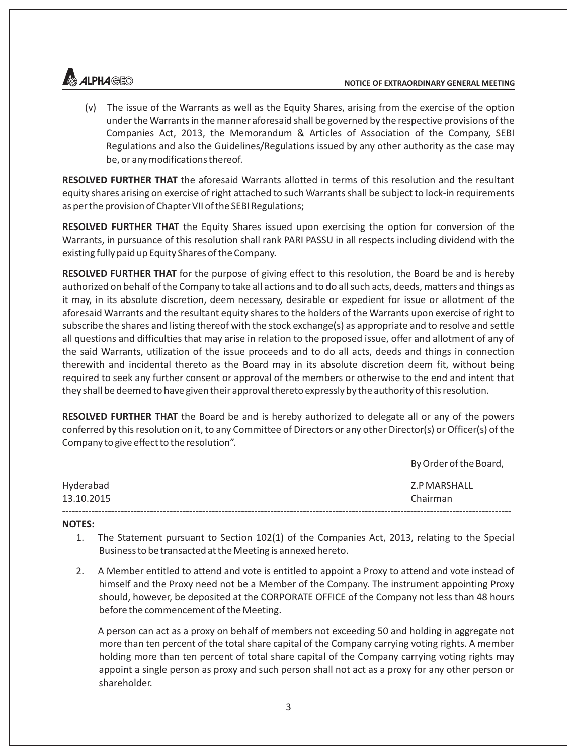

(v) The issue of the Warrants as well as the Equity Shares, arising from the exercise of the option under the Warrants in the manner aforesaid shall be governed by the respective provisions of the Companies Act, 2013, the Memorandum & Articles of Association of the Company, SEBI Regulations and also the Guidelines/Regulations issued by any other authority as the case may be, or any modifications thereof.

**RESOLVED FURTHER THAT** the aforesaid Warrants allotted in terms of this resolution and the resultant equity shares arising on exercise of right attached to such Warrants shall be subject to lock-in requirements as per the provision of Chapter VII of the SEBI Regulations;

**RESOLVED FURTHER THAT** the Equity Shares issued upon exercising the option for conversion of the Warrants, in pursuance of this resolution shall rank PARI PASSU in all respects including dividend with the existing fully paid up Equity Shares of the Company.

**RESOLVED FURTHER THAT** for the purpose of giving effect to this resolution, the Board be and is hereby authorized on behalf of the Company to take all actions and to do all such acts, deeds, matters and things as it may, in its absolute discretion, deem necessary, desirable or expedient for issue or allotment of the aforesaid Warrants and the resultant equity shares to the holders of the Warrants upon exercise of right to subscribe the shares and listing thereof with the stock exchange(s) as appropriate and to resolve and settle all questions and difficulties that may arise in relation to the proposed issue, offer and allotment of any of the said Warrants, utilization of the issue proceeds and to do all acts, deeds and things in connection therewith and incidental thereto as the Board may in its absolute discretion deem fit, without being required to seek any further consent or approval of the members or otherwise to the end and intent that they shall be deemed to have given their approval thereto expressly by the authority of this resolution.

**RESOLVED FURTHER THAT** the Board be and is hereby authorized to delegate all or any of the powers conferred by this resolution on it, to any Committee of Directors or any other Director(s) or Officer(s) of the Company to give effect to the resolution".

|            | By Order of the Board, |
|------------|------------------------|
| Hyderabad  | Z.P MARSHALL           |
| 13.10.2015 | Chairman               |
|            |                        |

#### **NOTES:**

- 1. The Statement pursuant to Section 102(1) of the Companies Act, 2013, relating to the Special Business to be transacted at the Meeting is annexed hereto.
- 2. A Member entitled to attend and vote is entitled to appoint a Proxy to attend and vote instead of himself and the Proxy need not be a Member of the Company. The instrument appointing Proxy should, however, be deposited at the CORPORATE OFFICE of the Company not less than 48 hours before the commencement of the Meeting.

A person can act as a proxy on behalf of members not exceeding 50 and holding in aggregate not more than ten percent of the total share capital of the Company carrying voting rights. A member holding more than ten percent of total share capital of the Company carrying voting rights may appoint a single person as proxy and such person shall not act as a proxy for any other person or shareholder.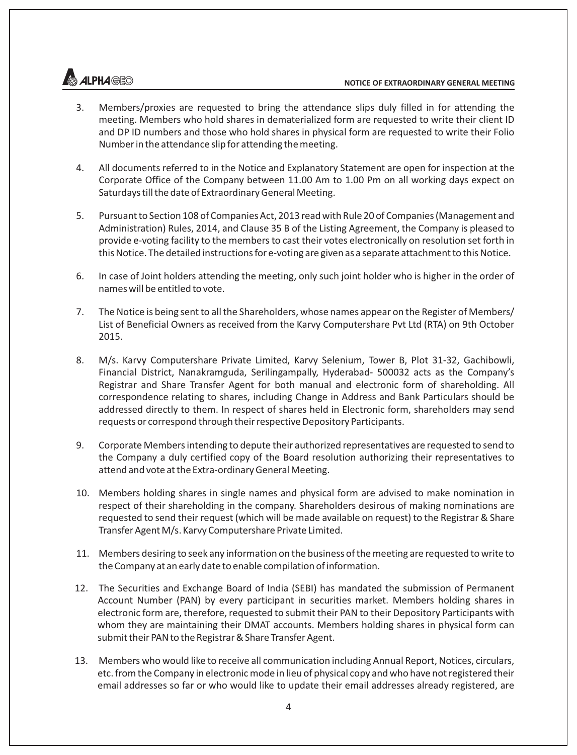# **ALPH***A®***B**o

- 3. Members/proxies are requested to bring the attendance slips duly filled in for attending the meeting. Members who hold shares in dematerialized form are requested to write their client ID and DP ID numbers and those who hold shares in physical form are requested to write their Folio Number in the attendance slip for attending the meeting.
- 4. All documents referred to in the Notice and Explanatory Statement are open for inspection at the Corporate Office of the Company between 11.00 Am to 1.00 Pm on all working days expect on Saturdays till the date of Extraordinary General Meeting.
- 5. Pursuant to Section 108 of Companies Act, 2013 read with Rule 20 of Companies (Management and Administration) Rules, 2014, and Clause 35 B of the Listing Agreement, the Company is pleased to provide e-voting facility to the members to cast their votes electronically on resolution set forth in this Notice. The detailed instructions for e-voting are given as a separate attachment to this Notice.
- 6. In case of Joint holders attending the meeting, only such joint holder who is higher in the order of names will be entitled to vote.
- 7. The Notice is being sent to all the Shareholders, whose names appear on the Register of Members/ List of Beneficial Owners as received from the Karvy Computershare Pvt Ltd (RTA) on 9th October 2015.
- 8. M/s. Karvy Computershare Private Limited, Karvy Selenium, Tower B, Plot 31-32, Gachibowli, Financial District, Nanakramguda, Serilingampally, Hyderabad- 500032 acts as the Company's Registrar and Share Transfer Agent for both manual and electronic form of shareholding. All correspondence relating to shares, including Change in Address and Bank Particulars should be addressed directly to them. In respect of shares held in Electronic form, shareholders may send requests or correspond through their respective Depository Participants.
- 9. Corporate Members intending to depute their authorized representatives are requested to send to the Company a duly certified copy of the Board resolution authorizing their representatives to attend and vote at the Extra-ordinary General Meeting.
- 10. Members holding shares in single names and physical form are advised to make nomination in respect of their shareholding in the company. Shareholders desirous of making nominations are requested to send their request (which will be made available on request) to the Registrar & Share Transfer Agent M/s. Karvy Computershare Private Limited.
- 11. Members desiring to seek any information on the business of the meeting are requested to write to the Company at an early date to enable compilation of information.
- 12. The Securities and Exchange Board of India (SEBI) has mandated the submission of Permanent Account Number (PAN) by every participant in securities market. Members holding shares in electronic form are, therefore, requested to submit their PAN to their Depository Participants with whom they are maintaining their DMAT accounts. Members holding shares in physical form can submit their PAN to the Registrar & Share Transfer Agent.
- 13. Members who would like to receive all communication including Annual Report, Notices, circulars, etc. from the Company in electronic mode in lieu of physical copy and who have not registered their email addresses so far or who would like to update their email addresses already registered, are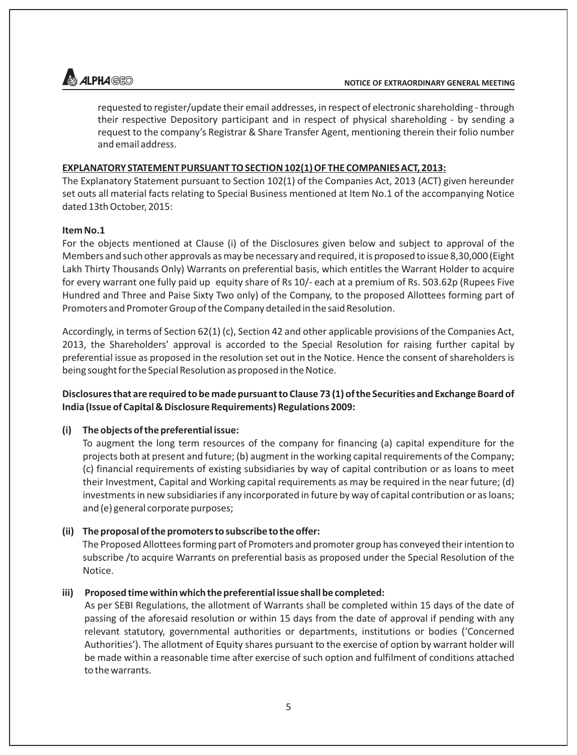

requested to register/update their email addresses, in respect of electronic shareholding - through their respective Depository participant and in respect of physical shareholding - by sending a request to the company's Registrar & Share Transfer Agent, mentioning therein their folio number and email address.

#### **EXPLANATORY STATEMENT PURSUANT TO SECTION 102(1) OF THE COMPANIES ACT, 2013:**

The Explanatory Statement pursuant to Section 102(1) of the Companies Act, 2013 (ACT) given hereunder set outs all material facts relating to Special Business mentioned at Item No.1 of the accompanying Notice dated 13th October, 2015:

#### **Item No.1**

For the objects mentioned at Clause (i) of the Disclosures given below and subject to approval of the Members and such other approvals as may be necessary and required, it is proposed to issue 8,30,000 (Eight Lakh Thirty Thousands Only) Warrants on preferential basis, which entitles the Warrant Holder to acquire for every warrant one fully paid up equity share of Rs 10/- each at a premium of Rs. 503.62p (Rupees Five Hundred and Three and Paise Sixty Two only) of the Company, to the proposed Allottees forming part of Promoters and Promoter Group of the Company detailed in the said Resolution.

Accordingly, in terms of Section 62(1) (c), Section 42 and other applicable provisions of the Companies Act, 2013, the Shareholders' approval is accorded to the Special Resolution for raising further capital by preferential issue as proposed in the resolution set out in the Notice. Hence the consent of shareholders is being sought for the Special Resolution as proposed in the Notice.

# **Disclosures that are required to be made pursuant to Clause 73 (1) of the Securities and Exchange Board of India (Issue of Capital & Disclosure Requirements) Regulations 2009:**

#### **(i) The objects of the preferential issue:**

To augment the long term resources of the company for financing (a) capital expenditure for the projects both at present and future; (b) augment in the working capital requirements of the Company; (c) financial requirements of existing subsidiaries by way of capital contribution or as loans to meet their Investment, Capital and Working capital requirements as may be required in the near future; (d) investments in new subsidiaries if any incorporated in future by way of capital contribution or as loans; and (e) general corporate purposes;

#### **(ii) The proposal of the promoters to subscribe to the offer:**

The Proposed Allottees forming part of Promoters and promoter group has conveyed their intention to subscribe /to acquire Warrants on preferential basis as proposed under the Special Resolution of the Notice.

#### **iii) Proposed time within which the preferential issue shall be completed:**

As per SEBI Regulations, the allotment of Warrants shall be completed within 15 days of the date of passing of the aforesaid resolution or within 15 days from the date of approval if pending with any relevant statutory, governmental authorities or departments, institutions or bodies ('Concerned Authorities'). The allotment of Equity shares pursuant to the exercise of option by warrant holder will be made within a reasonable time after exercise of such option and fulfilment of conditions attached to the warrants.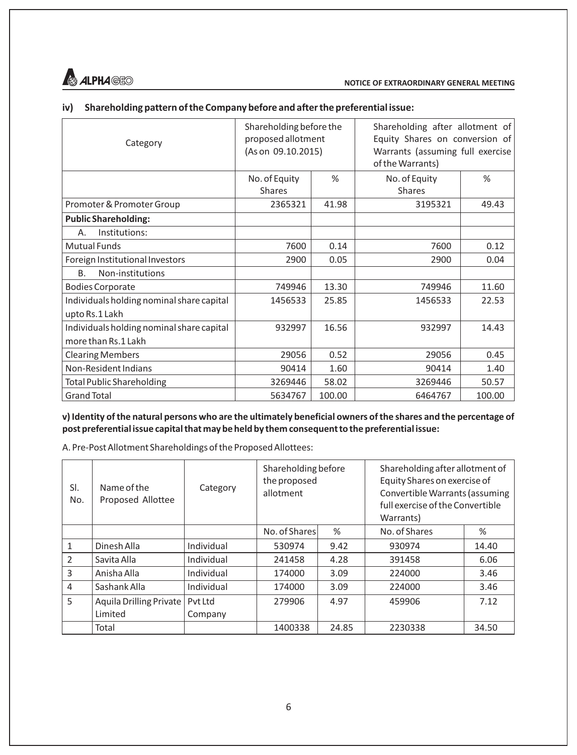

# **iv) Shareholding pattern of the Company before and after the preferential issue:**

| Category                                  | Shareholding before the<br>proposed allotment<br>(As on 09.10.2015) |        | Shareholding after allotment of<br>Equity Shares on conversion of<br>Warrants (assuming full exercise<br>of the Warrants) |        |  |
|-------------------------------------------|---------------------------------------------------------------------|--------|---------------------------------------------------------------------------------------------------------------------------|--------|--|
|                                           | No. of Equity<br><b>Shares</b>                                      | %      | No. of Equity<br>Shares                                                                                                   | %      |  |
| Promoter & Promoter Group                 | 2365321                                                             | 41.98  | 3195321                                                                                                                   | 49.43  |  |
| <b>Public Shareholding:</b>               |                                                                     |        |                                                                                                                           |        |  |
| Institutions:<br>А.                       |                                                                     |        |                                                                                                                           |        |  |
| Mutual Funds                              | 7600                                                                | 0.14   | 7600                                                                                                                      | 0.12   |  |
| Foreign Institutional Investors           | 2900                                                                | 0.05   | 2900                                                                                                                      | 0.04   |  |
| B <sub>1</sub><br>Non-institutions        |                                                                     |        |                                                                                                                           |        |  |
| <b>Bodies Corporate</b>                   | 749946                                                              | 13.30  | 749946                                                                                                                    | 11.60  |  |
| Individuals holding nominal share capital | 1456533                                                             | 25.85  | 1456533                                                                                                                   | 22.53  |  |
| upto Rs.1 Lakh                            |                                                                     |        |                                                                                                                           |        |  |
| Individuals holding nominal share capital | 932997                                                              | 16.56  | 932997                                                                                                                    | 14.43  |  |
| more than Rs.1 Lakh                       |                                                                     |        |                                                                                                                           |        |  |
| <b>Clearing Members</b>                   | 29056                                                               | 0.52   | 29056                                                                                                                     | 0.45   |  |
| Non-Resident Indians                      | 90414                                                               | 1.60   | 90414                                                                                                                     | 1.40   |  |
| Total Public Shareholding                 | 3269446                                                             | 58.02  | 3269446                                                                                                                   | 50.57  |  |
| <b>Grand Total</b>                        | 5634767                                                             | 100.00 | 6464767                                                                                                                   | 100.00 |  |

**v) Identity of the natural persons who are the ultimately beneficial owners of the shares and the percentage of post preferential issue capital that may be held by them consequent to the preferential issue:**

A. Pre-Post Allotment Shareholdings of the Proposed Allottees:

| SI.<br>No.    | Name of the<br>Proposed Allottee | Category   | Shareholding before<br>the proposed<br>allotment |       | Shareholding after allotment of<br>Equity Shares on exercise of<br>Convertible Warrants (assuming<br>full exercise of the Convertible<br>Warrants) |       |  |
|---------------|----------------------------------|------------|--------------------------------------------------|-------|----------------------------------------------------------------------------------------------------------------------------------------------------|-------|--|
|               |                                  |            | No. of Shares                                    | %     | No. of Shares                                                                                                                                      | %     |  |
| 1             | Dinesh Alla                      | Individual | 530974                                           | 9.42  | 930974                                                                                                                                             | 14.40 |  |
| $\mathcal{P}$ | Savita Alla                      | Individual | 241458                                           | 4.28  | 391458                                                                                                                                             | 6.06  |  |
| 3             | Anisha Alla                      | Individual | 174000                                           | 3.09  | 224000                                                                                                                                             | 3.46  |  |
| 4             | Sashank Alla                     | Individual | 174000                                           | 3.09  | 224000                                                                                                                                             | 3.46  |  |
| 5             | <b>Aquila Drilling Private</b>   | Pyt Ltd    | 279906                                           | 4.97  | 459906                                                                                                                                             | 7.12  |  |
|               | Limited                          | Company    |                                                  |       |                                                                                                                                                    |       |  |
|               | Total                            |            | 1400338                                          | 24.85 | 2230338                                                                                                                                            | 34.50 |  |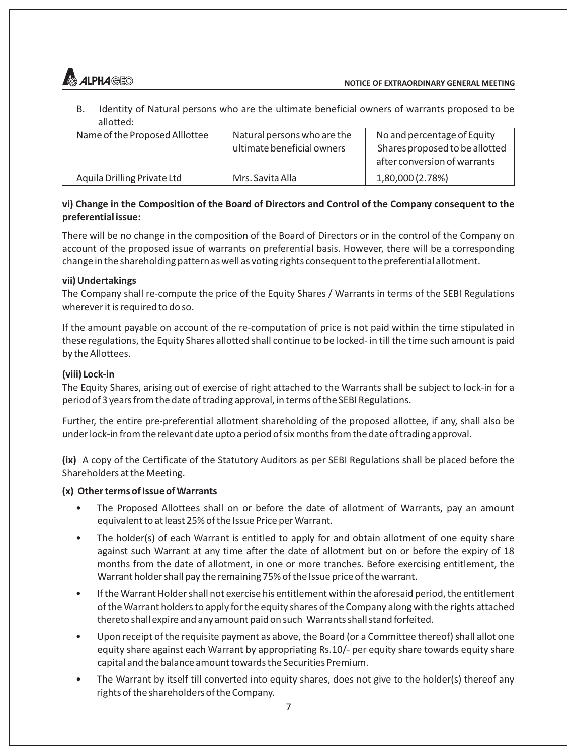

B. Identity of Natural persons who are the ultimate beneficial owners of warrants proposed to be allotted:

| Name of the Proposed Alllottee | Natural persons who are the<br>ultimate beneficial owners | No and percentage of Equity<br>Shares proposed to be allotted<br>after conversion of warrants |
|--------------------------------|-----------------------------------------------------------|-----------------------------------------------------------------------------------------------|
| Aquila Drilling Private Ltd    | Mrs. Savita Alla                                          | 1,80,000 (2.78%)                                                                              |

# **vi) Change in the Composition of the Board of Directors and Control of the Company consequent to the preferential issue:**

There will be no change in the composition of the Board of Directors or in the control of the Company on account of the proposed issue of warrants on preferential basis. However, there will be a corresponding change in the shareholding pattern as well as voting rights consequent to the preferential allotment.

# **vii) Undertakings**

The Company shall re-compute the price of the Equity Shares / Warrants in terms of the SEBI Regulations wherever it is required to do so.

If the amount payable on account of the re-computation of price is not paid within the time stipulated in these regulations, the Equity Shares allotted shall continue to be locked- in till the time such amount is paid by the Allottees.

# **(viii) Lock-in**

The Equity Shares, arising out of exercise of right attached to the Warrants shall be subject to lock-in for a period of 3 years from the date of trading approval, in terms of the SEBI Regulations.

Further, the entire pre-preferential allotment shareholding of the proposed allottee, if any, shall also be under lock-in from the relevant date upto a period of six months from the date of trading approval.

**(ix)** A copy of the Certificate of the Statutory Auditors as per SEBI Regulations shall be placed before the Shareholders at the Meeting.

# **(x) Other terms of Issue of Warrants**

- The Proposed Allottees shall on or before the date of allotment of Warrants, pay an amount equivalent to at least 25% of the Issue Price per Warrant.
- The holder(s) of each Warrant is entitled to apply for and obtain allotment of one equity share against such Warrant at any time after the date of allotment but on or before the expiry of 18 months from the date of allotment, in one or more tranches. Before exercising entitlement, the Warrant holder shall pay the remaining 75% of the Issue price of the warrant.
- If the Warrant Holder shall not exercise his entitlement within the aforesaid period, the entitlement of the Warrant holders to apply for the equity shares of the Company along with the rights attached thereto shall expire and any amount paid on such Warrants shall stand forfeited.
- Upon receipt of the requisite payment as above, the Board (or a Committee thereof) shall allot one equity share against each Warrant by appropriating Rs.10/- per equity share towards equity share capital and the balance amount towards the Securities Premium.
- The Warrant by itself till converted into equity shares, does not give to the holder(s) thereof any rights of the shareholders of the Company.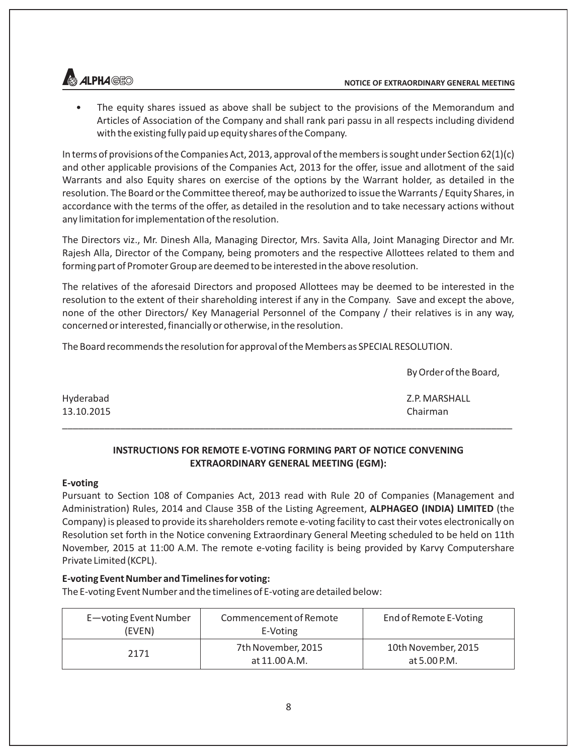

• The equity shares issued as above shall be subject to the provisions of the Memorandum and Articles of Association of the Company and shall rank pari passu in all respects including dividend with the existing fully paid up equity shares of the Company.

In terms of provisions of the Companies Act, 2013, approval of the members is sought under Section 62(1)(c) and other applicable provisions of the Companies Act, 2013 for the offer, issue and allotment of the said Warrants and also Equity shares on exercise of the options by the Warrant holder, as detailed in the resolution. The Board or the Committee thereof, may be authorized to issue the Warrants / Equity Shares, in accordance with the terms of the offer, as detailed in the resolution and to take necessary actions without any limitation for implementation of the resolution.

The Directors viz., Mr. Dinesh Alla, Managing Director, Mrs. Savita Alla, Joint Managing Director and Mr. Rajesh Alla, Director of the Company, being promoters and the respective Allottees related to them and forming part of Promoter Group are deemed to be interested in the above resolution.

The relatives of the aforesaid Directors and proposed Allottees may be deemed to be interested in the resolution to the extent of their shareholding interest if any in the Company. Save and except the above, none of the other Directors/ Key Managerial Personnel of the Company / their relatives is in any way, concerned or interested, financially or otherwise, in the resolution.

The Board recommends the resolution for approval of the Members as SPECIAL RESOLUTION.

By Order of the Board,

| Hyderabad  | Z.P. MARSHALL |
|------------|---------------|
| 13.10.2015 | Chairman      |
|            |               |

# **INSTRUCTIONS FOR REMOTE E-VOTING FORMING PART OF NOTICE CONVENING EXTRAORDINARY GENERAL MEETING (EGM):**

#### **E-voting**

Pursuant to Section 108 of Companies Act, 2013 read with Rule 20 of Companies (Management and Administration) Rules, 2014 and Clause 35B of the Listing Agreement, **ALPHAGEO (INDIA) LIMITED** (the Company) is pleased to provide its shareholders remote e-voting facility to cast their votes electronically on Resolution set forth in the Notice convening Extraordinary General Meeting scheduled to be held on 11th November, 2015 at 11:00 A.M. The remote e-voting facility is being provided by Karvy Computershare Private Limited (KCPL).

# **E-voting Event Number and Timelines for voting:**

The E-voting Event Number and the timelines of E-voting are detailed below:

| E-voting Event Number<br>(EVEN) | Commencement of Remote<br>E-Voting  | End of Remote E-Voting              |  |
|---------------------------------|-------------------------------------|-------------------------------------|--|
| 2171                            | 7th November, 2015<br>at 11.00 A.M. | 10th November, 2015<br>at 5.00 P.M. |  |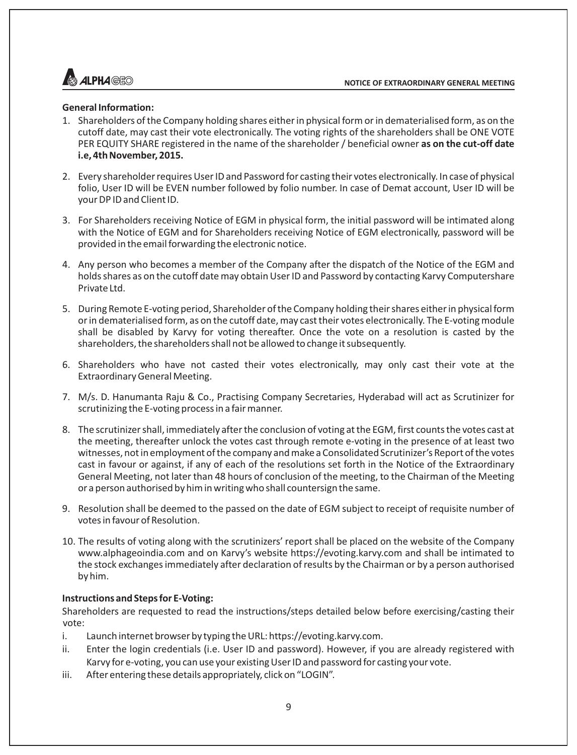

#### **General Information:**

- 1. Shareholders of the Company holding shares either in physical form or in dematerialised form, as on the cutoff date, may cast their vote electronically. The voting rights of the shareholders shall be ONE VOTE PER EQUITY SHARE registered in the name of the shareholder / beneficial owner **as on the cut-off date i.e, 4th November, 2015.**
- 2. Every shareholder requires User ID and Password for casting their votes electronically. In case of physical folio, User ID will be EVEN number followed by folio number. In case of Demat account, User ID will be your DP ID and Client ID.
- 3. For Shareholders receiving Notice of EGM in physical form, the initial password will be intimated along with the Notice of EGM and for Shareholders receiving Notice of EGM electronically, password will be provided in the email forwarding the electronic notice.
- 4. Any person who becomes a member of the Company after the dispatch of the Notice of the EGM and holds shares as on the cutoff date may obtain User ID and Password by contacting Karvy Computershare Private Ltd.
- 5. During Remote E-voting period, Shareholder of the Company holding their shares either in physical form or in dematerialised form, as on the cutoff date, may cast their votes electronically. The E-voting module shall be disabled by Karvy for voting thereafter. Once the vote on a resolution is casted by the shareholders, the shareholders shall not be allowed to change it subsequently.
- 6. Shareholders who have not casted their votes electronically, may only cast their vote at the Extraordinary General Meeting.
- 7. M/s. D. Hanumanta Raju & Co., Practising Company Secretaries, Hyderabad will act as Scrutinizer for scrutinizing the E-voting process in a fair manner.
- 8. The scrutinizer shall, immediately after the conclusion of voting at the EGM, first counts the votes cast at the meeting, thereafter unlock the votes cast through remote e-voting in the presence of at least two witnesses, not in employment of the company and make a Consolidated Scrutinizer's Report of the votes cast in favour or against, if any of each of the resolutions set forth in the Notice of the Extraordinary General Meeting, not later than 48 hours of conclusion of the meeting, to the Chairman of the Meeting or a person authorised by him in writing who shall countersign the same.
- 9. Resolution shall be deemed to the passed on the date of EGM subject to receipt of requisite number of votes in favour of Resolution.
- 10. The results of voting along with the scrutinizers' report shall be placed on the website of the Company www.alphageoindia.com and on Karvy's website https://evoting.karvy.com and shall be intimated to the stock exchanges immediately after declaration of results by the Chairman or by a person authorised by him.

#### **Instructions and Steps for E-Voting:**

Shareholders are requested to read the instructions/steps detailed below before exercising/casting their vote:

- i. Launch internet browser by typing the URL: https://evoting.karvy.com.
- ii. Enter the login credentials (i.e. User ID and password). However, if you are already registered with Karvy for e-voting, you can use your existing User ID and password for casting your vote.
- iii. After entering these details appropriately, click on "LOGIN".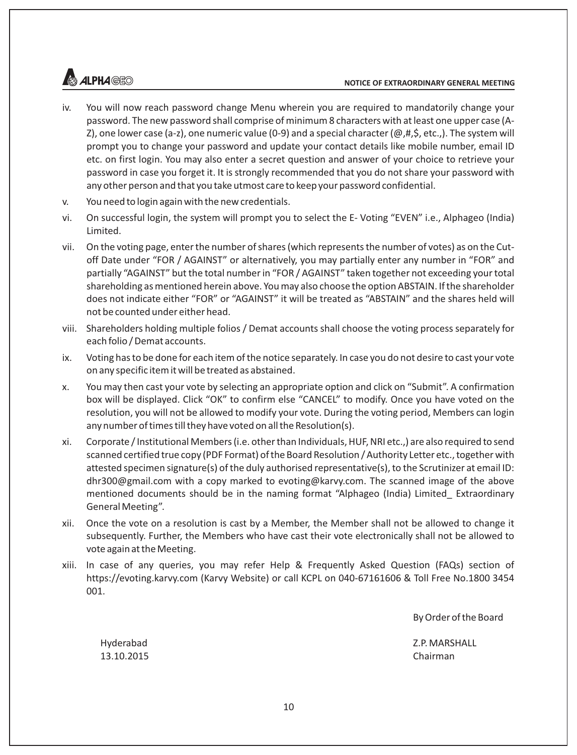# **ALPHAGEO**

- iv. You will now reach password change Menu wherein you are required to mandatorily change your password. The new password shall comprise of minimum 8 characters with at least one upper case (A-Z), one lower case (a-z), one numeric value (0-9) and a special character ( $@, #, \$$ , etc.,). The system will prompt you to change your password and update your contact details like mobile number, email ID etc. on first login. You may also enter a secret question and answer of your choice to retrieve your password in case you forget it. It is strongly recommended that you do not share your password with any other person and that you take utmost care to keep your password confidential.
- v. You need to login again with the new credentials.
- vi. On successful login, the system will prompt you to select the E- Voting "EVEN" i.e., Alphageo (India) Limited.
- vii. On the voting page, enter the number of shares (which represents the number of votes) as on the Cutoff Date under "FOR / AGAINST" or alternatively, you may partially enter any number in "FOR" and partially "AGAINST" but the total number in "FOR / AGAINST" taken together not exceeding your total shareholding as mentioned herein above. You may also choose the option ABSTAIN. If the shareholder does not indicate either "FOR" or "AGAINST" it will be treated as "ABSTAIN" and the shares held will not be counted under either head.
- viii. Shareholders holding multiple folios / Demat accounts shall choose the voting process separately for each folio / Demat accounts.
- ix. Voting has to be done for each item of the notice separately. In case you do not desire to cast your vote on any specific item it will be treated as abstained.
- x. You may then cast your vote by selecting an appropriate option and click on "Submit". A confirmation box will be displayed. Click "OK" to confirm else "CANCEL" to modify. Once you have voted on the resolution, you will not be allowed to modify your vote. During the voting period, Members can login any number of times till they have voted on all the Resolution(s).
- xi. Corporate / Institutional Members (i.e. other than Individuals, HUF, NRI etc.,) are also required to send scanned certified true copy (PDF Format) of the Board Resolution / Authority Letter etc., together with attested specimen signature(s) of the duly authorised representative(s), to the Scrutinizer at email ID: dhr300@gmail.com with a copy marked to evoting@karvy.com. The scanned image of the above mentioned documents should be in the naming format "Alphageo (India) Limited\_ Extraordinary General Meeting".
- xii. Once the vote on a resolution is cast by a Member, the Member shall not be allowed to change it subsequently. Further, the Members who have cast their vote electronically shall not be allowed to vote again at the Meeting.
- xiii. In case of any queries, you may refer Help & Frequently Asked Question (FAQs) section of https://evoting.karvy.com (Karvy Website) or call KCPL on 040-67161606 & Toll Free No.1800 3454 001.

By Order of the Board

Hyderabad Z.P. MARSHALL

13.10.2015 Chairman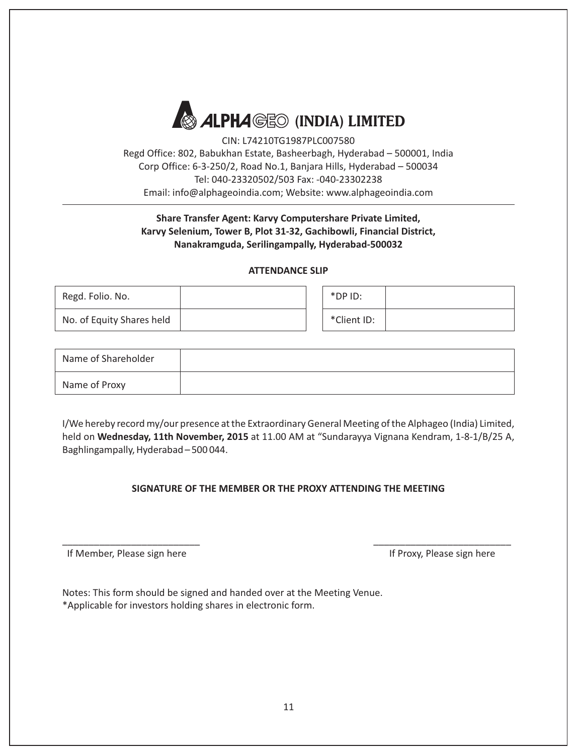

CIN: L74210TG1987PLC007580 Regd Office: 802, Babukhan Estate, Basheerbagh, Hyderabad – 500001, India Corp Office: 6-3-250/2, Road No.1, Banjara Hills, Hyderabad – 500034 Tel: 040-23320502/503 Fax: -040-23302238 Email: info@alphageoindia.com; Website: www.alphageoindia.com

# **Share Transfer Agent: Karvy Computershare Private Limited, Karvy Selenium, Tower B, Plot 31-32, Gachibowli, Financial District, Nanakramguda, Serilingampally, Hyderabad-500032**

#### **ATTENDANCE SLIP**

| Regd. Folio. No.          |  | $*$ DP ID:  |  |
|---------------------------|--|-------------|--|
| No. of Equity Shares held |  | *Client ID: |  |

| Name of Shareholder |  |
|---------------------|--|
| Name of Proxy       |  |

I/We hereby record my/our presence at the Extraordinary General Meeting of the Alphageo (India) Limited, held on **Wednesday, 11th November, 2015** at 11.00 AM at "Sundarayya Vignana Kendram, 1-8-1/B/25 A, Baghlingampally, Hyderabad – 500 044.

# **SIGNATURE OF THE MEMBER OR THE PROXY ATTENDING THE MEETING**

\_\_\_\_\_\_\_\_\_\_\_\_\_\_\_\_\_\_\_\_\_\_\_\_\_\_ \_\_\_\_\_\_\_\_\_\_\_\_\_\_\_\_\_\_\_\_\_\_\_\_\_\_

If Member, Please sign here **If Proxy, Please sign here** If Proxy, Please sign here

Notes: This form should be signed and handed over at the Meeting Venue. \*Applicable for investors holding shares in electronic form.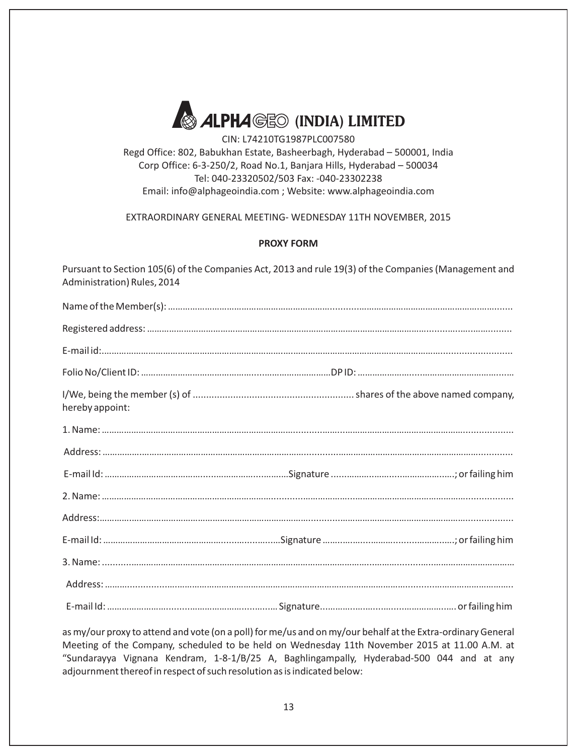

CIN: L74210TG1987PLC007580 Regd Office: 802, Babukhan Estate, Basheerbagh, Hyderabad – 500001, India Corp Office: 6-3-250/2, Road No.1, Banjara Hills, Hyderabad – 500034

Tel: 040-23320502/503 Fax: -040-23302238 Email: info@alphageoindia.com ; Website: www.alphageoindia.com

EXTRAORDINARY GENERAL MEETING- WEDNESDAY 11TH NOVEMBER, 2015

# **PROXY FORM**

Pursuant to Section 105(6) of the Companies Act, 2013 and rule 19(3) of the Companies (Management and Administration) Rules, 2014

| hereby appoint: |  |
|-----------------|--|
|                 |  |
|                 |  |
|                 |  |
|                 |  |
|                 |  |
|                 |  |
|                 |  |
|                 |  |
|                 |  |

as my/our proxy to attend and vote (on a poll) for me/us and on my/our behalf at the Extra-ordinary General Meeting of the Company, scheduled to be held on Wednesday 11th November 2015 at 11.00 A.M. at "Sundarayya Vignana Kendram, 1-8-1/B/25 A, Baghlingampally, Hyderabad-500 044 and at any adjournment thereof in respect of such resolution as is indicated below: